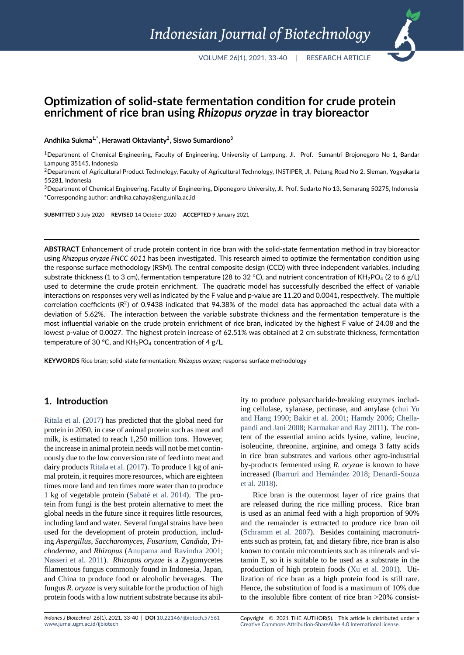# **Optimization of solid‐state fermentation condition for crude protein enrichment of rice bran using** *Rhizopus oryzae* **in tray bioreactor**

#### **Andhika Sukma1,\*, Herawati Oktavianty<sup>2</sup> , Siswo Sumardiono<sup>3</sup>**

<sup>1</sup>Department of Chemical Engineering, Faculty of Engineering, University of Lampung, Jl. Prof. Sumantri Brojonegoro No 1, Bandar Lampung 35145, Indonesia

<sup>2</sup> Department of Agricultural Product Technology, Faculty of Agricultural Technology, INSTIPER, Jl. Petung Road No 2, Sleman, Yogyakarta 55281, Indonesia

<sup>3</sup>Department of Chemical Engineering, Faculty of Engineering, Diponegoro University, Jl. Prof. Sudarto No 13, Semarang 50275, Indonesia \*Corresponding author: andhika.cahaya@eng.unila.ac.id

**SUBMITTED** 3 July 2020 **REVISED** 14 October 2020 **ACCEPTED** 9 January 2021

ABSTRACT Enhancement of crude protein content in rice bran with the solid-state fermentation method in tray bioreactor using *Rhizopus oryzae FNCC 6011* has been investigated. This research aimed to optimize the fermentation condition using the response surface methodology (RSM). The central composite design (CCD) with three independent variables, including substrate thickness (1 to 3 cm), fermentation temperature (28 to 32 °C), and nutrient concentration of  $KH_{2}PO_{4}$  (2 to 6 g/L) used to determine the crude protein enrichment. The quadratic model has successfully described the effect of variable interactions on responses very well as indicated by the F value and p-value are 11.20 and 0.0041, respectively. The multiple correlation coefficients (R<sup>2</sup>) of 0.9438 indicated that 94.38% of the model data has approached the actual data with a deviation of 5.62%. The interaction between the variable substrate thickness and the fermentation temperature is the most influential variable on the crude protein enrichment of rice bran, indicated by the highest F value of 24.08 and the lowest p-value of 0.0027. The highest protein increase of 62.51% was obtained at 2 cm substrate thickness, fermentation temperature of 30 °C, and  $KH_2PO_4$  concentration of 4 g/L.

**KEYWORDS** Rice bran; solid‐state fermentation; *Rhizopus oryzae*; response surface methodology

## **1. Introduction**

Ritala et al. (2017) has predicted that the global need for protein in 2050, in case of animal protein such as meat and milk, is estimated to reach 1,250 million tons. However, the increase in animal protein needs will not be met contin[uously due t](#page-6-0)o [the lo](#page-6-0)w conversion rate of feed into meat and dairy products Ritala et al. (2017). To produce 1 kg of animal protein, it requires more resources, which are eighteen times more land and ten times more water than to produce 1 kg of vegetable protein (Sabaté et al. 2014). The protein from fung[i is the best protei](#page-6-0)n alternative to meet the global needs in the future since it requires little resources, including land and water. Several fungal strains have been used for the development [of protein product](#page-6-1)ion, including *Aspergillus, Saccharomyces, Fusarium, Candida, Trichoderma,* and *Rhizopus* (Anupama and Ravindra 2001; Nasseri et al. 2011). *Rhizopus oryzae* is a Zygomycetes filamentous fungus commonly found in Indonesia, Japan, and China to produce food or alcoholic beverages. The fungus *R. oryzae* is very su[itable for the production of high](#page-5-0) [protein foods with a](#page-6-2) low nutrient substrate because its ability to produce polysaccharide-breaking enzymes including cellulase, xylanase, pectinase, and amylase (chui Yu and Hang 1990; Bakir et al. 2001; Hamdy 2006; Chellapandi and Jani 2008; Karmakar and Ray 2011). The content of the essential amino acids lysine, valine, leucine, isoleucine, threonine, arginine, and omega 3 fat[ty acids](#page-5-1) [in rice bran sub](#page-5-1)[strates and variou](#page-5-2)s other agro-in[dustrial](#page-5-3) by-products fermented using *[R. oryzae](#page-6-4)* i[s kno](#page-6-4)wn to have increased (Ibarruri and Hernández 2018; Denardi-Souza et al. 2018).

Rice bran is the outermost layer of rice grains that are released during the rice milling process. Rice bran is used as [an animal feed with a high pro](#page-6-5)[portion of 90%](#page-5-4) [and the re](#page-5-4)mainder is extracted to produce rice bran oil (Schramm et al. 2007). Besides containing macronutrients such as protein, fat, and dietary fibre, rice bran is also known to contain micronutrients such as minerals and vitamin E, so it is suitable to be used as a substrate in the [production of high pro](#page-6-6)tein foods (Xu et al. 2001). Utilization of rice bran as a high protein food is still rare. Hence, the substitution of food is a maximum of 10% due to the insoluble fibre content of rice bran >20% consist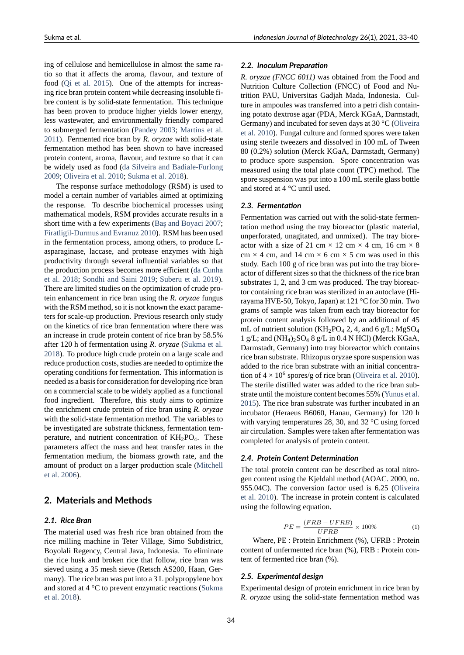ing of cellulose and hemicellulose in almost the same ratio so that it affects the aroma, flavour, and texture of food (Qi et al. 2015). One of the attempts for increasing rice bran protein content while decreasing insoluble fibre content is by solid-state fermentation. This technique has been proven to produce higher yields lower energy, less [wastewater, and](#page-6-7) environmentally friendly compared to submerged fermentation (Pandey 2003; Martins et al. 2011). Fermented rice bran by *R. oryzae* with solid-state fermentation method has been shown to have increased protein content, aroma, flavour, and texture so that it can be widely used as food (da [Silveira and B](#page-6-8)adiale-Furlong [2009](#page-6-9); Oliveira et al. 2010; Sukma et al. 2018).

The response surface methodology (RSM) is used to model a certain number of variables aimed at optimizing the response. To descri[be biochemical processes using](#page-5-5) [mathe](#page-5-5)[matical models, RS](#page-6-10)[M provides accurat](#page-6-11)e results in a short time with a few experiments (Baş and Boyaci 2007; Firatligil-Durmus and Evranuz 2010). RSM has been used in the fermentation process, among others, to produce Lasparaginase, laccase, and protease enzymes with high productivity through several influe[ntial variables so that](#page-5-6) [the production process becomes mor](#page-5-7)e efficient (da Cunha et al. 2018; Sondhi and Saini 2019; Suberu et al. 2019). There are limited studies on the optimization of crude protein enhancement in rice bran using the *R. oryzae* fungus with the RSM method, so it is not known the exa[ct parame](#page-5-8)[ters for sca](#page-5-8)le-up production. Previou[s research only stud](#page-6-13)y on the kinetics of rice bran fermentation where there was an increase in crude protein content of rice bran by 58.5% after 120 h of fermentation using *R. oryzae* (Sukma et al. 2018). To produce high crude protein on a large scale and reduce production costs, studies are needed to optimize the operating conditions for fermentation. This information is needed as a basis for consideration for develo[ping rice bran](#page-6-11) [on a c](#page-6-11)ommercial scale to be widely applied as a functional food ingredient. Therefore, this study aims to optimize the enrichment crude protein of rice bran using *R. oryzae* with the solid-state fermentation method. The variables to be investigated are substrate thickness, fermentation temperature, and nutrient concentration of  $KH_{2}PO_{4}$ . These parameters affect the mass and heat transfer rates in the fermentation medium, the biomass growth rate, and the amount of product on a larger production scale (Mitchell et al. 2006).

### **2. Materials and Methods**

#### *[2.1.](#page-6-14) [Rice B](#page-6-14)ran*

The material used was fresh rice bran obtained from the rice milling machine in Teter Village, Simo Subdistrict, Boyolali Regency, Central Java, Indonesia. To eliminate the rice husk and broken rice that follow, rice bran was sieved using a 35 mesh sieve (Retsch AS200, Haan, Germany). The rice bran was put into a 3 L polypropylene box and stored at 4 °C to prevent enzymatic reactions (Sukma et al. 2018).

### *2.2. Inoculum Preparation*

*R. oryzae (FNCC 6011)* was obtained from the Food and Nutrition Culture Collection (FNCC) of Food and Nutrition PAU, Universitas Gadjah Mada, Indonesia. Culture in ampoules was transferred into a petri dish containing potato dextrose agar (PDA, Merck KGaA, Darmstadt, Germany) and incubated for seven days at 30 °C (Oliveira et al. 2010). Fungal culture and formed spores were taken using sterile tweezers and dissolved in 100 mL of Tween 80 (0.2%) solution (Merck KGaA, Darmstadt, Germany) to produce spore suspension. Spore concentra[tion was](#page-6-10) [measured u](#page-6-10)sing the total plate count (TPC) method. The spore suspension was put into a 100 mL sterile glass bottle and stored at 4 °C until used.

#### *2.3. Fermentation*

Fermentation was carried out with the solid-state fermentation method using the tray bioreactor (plastic material, unperforated, unagitated, and unmixed). The tray bioreactor with a size of 21 cm  $\times$  12 cm  $\times$  4 cm, 16 cm  $\times$  8  $cm \times 4$  cm, and 14 cm  $\times$  6 cm  $\times$  5 cm was used in this study. Each 100 g of rice bran was put into the tray bioreactor of different sizes so that the thickness of the rice bran substrates 1, 2, and 3 cm was produced. The tray bioreactor containing rice bran was sterilized in an autoclave (Hirayama HVE-50, Tokyo, Japan) at  $121 \degree C$  for 30 min. Two grams of sample was taken from each tray bioreactor for protein content analysis followed by an additional of 45 mL of nutrient solution ( $KH_2PO_4$  2, 4, and 6 g/L; MgSO<sub>4</sub> 1 g/L; and  $(NH_4)$ <sub>2</sub>SO<sub>4</sub> 8 g/L in 0.4 N HCl) (Merck KGaA, Darmstadt, Germany) into tray bioreactor which contains rice bran substrate. Rhizopus oryzae spore suspension was added to the rice bran substrate with an initial concentration of  $4 \times 10^6$  spores/g of rice bran (Oliveira et al. 2010). The sterile distilled water was added to the rice bran substrate until the moisture content becomes 55% (Yunus et al. 2015). The rice bran substrate was further incubated in an incubator (Heraeus B6060, Hanau, [Germany\) for 120](#page-6-10) h with varying temperatures 28, 30, and 32 °C using forced air circulation. Samples were taken after ferme[ntation was](#page-7-0) [comp](#page-7-0)leted for analysis of protein content.

#### *2.4. Protein Content Determination*

The total protein content can be described as total nitrogen content using the Kjeldahl method (AOAC. 2000, no. 955.04C). The conversion factor used is 6.25 (Oliveira et al. 2010). The increase in protein content is calculated using the following equation.

<span id="page-1-0"></span>
$$
PE = \frac{(FRB - UFRB)}{UFRB} \times 100\% \tag{1}
$$

[Where](#page-6-10), PE : Protein Enrichment (%), UFRB : Protein content of unfermented rice bran (%), FRB : Protein content of fermented rice bran (%).

#### *2.5. Experimental design*

Experimental design of protein enrichment in rice bran by *R. oryzae* using the solid-state fermentation method was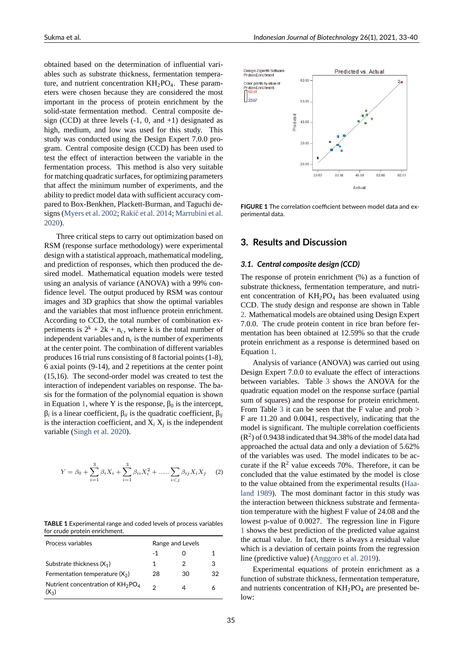obtained based on the determination of influential variables such as substrate thickness, fermentation temperature, and nutrient concentration  $KH<sub>2</sub>PO<sub>4</sub>$ . These parameters were chosen because they are considered the most important in the process of protein enrichment by the solid-state fermentation method. Central composite design (CCD) at three levels  $(-1, 0, \text{ and } +1)$  designated as high, medium, and low was used for this study. This study was conducted using the Design Expert 7.0.0 program. Central composite design (CCD) has been used to test the effect of interaction between the variable in the fermentation process. This method is also very suitable for matching quadratic surfaces, for optimizing parameters that affect the minimum number of experiments, and the ability to predict model data with sufficient accuracy compared to Box-Benkhen, Plackett-Burman, and Taguchi designs (Myers et al. 2002; Rakić et al. 2014; Marrubini et al. 2020).

Three critical steps to carry out optimization based on RSM (response surface methodology) were experimental desig[n with a statistical a](#page-6-15)[pproach, mathem](#page-6-16)[atical modeling,](#page-6-17) [and p](#page-6-17)rediction of responses, which then produced the desired model. Mathematical equation models were tested using an analysis of variance (ANOVA) with a 99% confidence level. The output produced by RSM was contour images and 3D graphics that show the optimal variables and the variables that most influence protein enrichment. According to CCD, the total number of combination experiments is  $2^k + 2k + n_c$ , where k is the total number of independent variables and  $n_c$  is the number of experiments at the center point. The combination of different variables produces 16 trial runs consisting of 8 factorial points (1-8),  $6$  axial points (9-14), and 2 repetitions at the center point  $(15,16)$ . The second-order model was created to test the interaction of independent variables on response. The basis for the formation of the polynomial equation is shown in Equation 1, where Y is the response,  $β_0$  is the intercept, β*i* is a linear coefficient, β*ii* is the quadratic coefficient, β*ij* is the interaction coefficient, and X*<sup>i</sup>* X*<sup>j</sup>* is the independent variable (Singh et al. 2020).

$$
Y = \beta_0 + \sum_{i=1}^{3} \beta_i X_i + \sum_{i=1}^{3} \beta_{ii} X_i^2 + \dots + \sum_{i < j} \beta_{ij} X_i X_j \tag{2}
$$

**TABLE 1** Experimental range and coded levels of process variables for crude protein enrichment.

| Process variables                                | Range and Levels |    |    |
|--------------------------------------------------|------------------|----|----|
|                                                  | -1               |    |    |
| Substrate thickness $(X_1)$                      | 1                | 2  | З  |
| Fermentation temperature $(X_2)$                 | 28               | 30 | 32 |
| Nutrient concentration of $KH_{2}PO_{4}$<br>(X2) | っ                |    |    |



**FIGURE 1** The correlation coefficient between model data and ex‐ perimental data.

### **3. Results and Discussion**

#### *3.1. Central composite design (CCD)*

The response of protein enrichment (%) as a function of substrate thickness, fermentation temperature, and nutrient concentration of  $KH_{2}PO_{4}$  has been evaluated using CCD. The study design and response are shown in Table 2. Mathematical models are obtained using Design Expert 7.0.0. The crude protein content in rice bran before fermentation has been obtained at 12.59% so that the crude protein enrichment as a response is determined based on [E](#page-3-0)quation 1.

Analysis of variance (ANOVA) was carried out using Design Expert 7.0.0 to evaluate the effect of interactions between variables. Table 3 shows the ANOVA for the quadratic [e](#page-1-0)quation model on the response surface (partial sum of squares) and the response for protein enrichment. From Table 3 it can be seen that the F value and prob > F are 11.20 and 0.0041, r[esp](#page-4-0)ectively, indicating that the model is significant. The multiple correlation coefficients  $(R^2)$  of 0.9438 indicated that 94.38% of the model data had approached [th](#page-4-0)e actual data and only a deviation of 5.62% of the variables was used. The model indicates to be accurate if the  $R^2$  value exceeds 70%. Therefore, it can be concluded that the value estimated by the model is close to the value obtained from the experimental results (Haaland 1989). The most dominant factor in this study was the interaction between thickness substrate and fermentation temperature with the highest F value of 24.08 and the lowest p-value of 0.0027. The regression line in F[igure](#page-6-19) 1 [shows th](#page-6-19)e best prediction of the predicted value against the actual value. In fact, there is always a residual value which is a deviation of certain points from the regression line (predictive value) (Anggoro et al. 2019).

Experimental equations of protein enrichment as a function of substrate thickness, fermentation temperature, and nutrients concentration of  $KH_2PO_4$  $KH_2PO_4$  $KH_2PO_4$  $KH_2PO_4$  are presented below: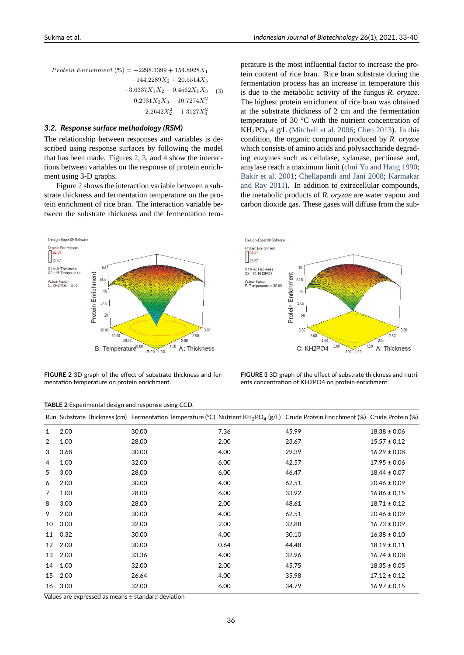*P rotein Enrichment* (%) = *−*2298*.*1399 + 154*.*8928*X*<sup>1</sup>  $+144.2289X_2 + 20.5514X_3$ *−*3*.*6337*X*1*X*<sup>2</sup> *−* 0*.*4562*X*1*X*<sup>3</sup> (3) *<sup>−</sup>*0*.*2931*X*2*X*<sup>3</sup> *<sup>−</sup>* <sup>10</sup>*.*7274*X*<sup>2</sup> 1 *<sup>−</sup>*2*.*2642*X*<sup>2</sup> <sup>2</sup> *<sup>−</sup>* <sup>1</sup>*.*3127*X*<sup>2</sup> 3

### *3.2. Response surface methodology (RSM)*

The relationship between responses and variables is described using response surfaces by following the model that has been made. Figures 2, 3, and 4 show the interactions between variables on the response of protein enrichment using 3-D graphs.

Figure 2 shows the interaction variable between a substrate thickness and ferment[ati](#page-3-1)[on](#page-3-2) tem[pe](#page-4-1)rature on the protein enrichment of rice bran. The interaction variable between the substrate thickness and the fermentation tem-

<span id="page-3-1"></span>Design-Expert® Software Protein Enrichment 23.67  $X1 = A: Thichness  
X2 = B: Temperature$  $63$ Protein Enrichment  $54.5$ Actual Factor<br>C: KH2PO4 = 4.00 46 37.5  $2<sup>c</sup>$ 32.00  $3.00$ 250 31.00 30.00  $\overline{200}$  $1.50$  A: Thickness B: Temperature<sup>29.00</sup>  $28.00 1.00$ 

perature is the most influential factor to increase the protein content of rice bran. Rice bran substrate during the fermentation process has an increase in temperature this is due to the metabolic activity of the fungus *R. oryzae*. The highest protein enrichment of rice bran was obtained at the substrate thickness of 2 cm and the fermentation temperature of 30 °C with the nutrient concentration of KH2PO<sup>4</sup> 4 g/L (Mitchell et al. 2006; Chen 2013). In this condition, the organic compound produced by *R. oryzae* which consists of amino acids and polysaccharide degrading enzymes such as cellulase, xylanase, pectinase and, amylase reach a [maximum lim](#page-6-14)i[t \(chu](#page-6-14)[i Yu and Ha](#page-5-10)ng 1990; Bakir et al. 2001; Chellapandi and Jani 2008; Karmakar and Ray 2011). In addition to extracellular compounds, the metabolic products of *R. oryzae* are water vapour and carbon dioxide gas. These gases [will diffuse from the sub-](#page-5-1)

<span id="page-3-2"></span>

**FIGURE 2** 3D graph of the effect of substrate thickness and fer‐ mentation temperature on protein enrichment.

**FIGURE 3** 3D graph of the effect of substrate thickness and nutri‐ ents concentration of KH2PO4 on protein enrichment.

| TABLE 2 Experimental design and response using CCD. |
|-----------------------------------------------------|
|-----------------------------------------------------|

<span id="page-3-0"></span>

|                 |      | Run Substrate Thickness (cm) Fermentation Temperature (°C) Nutrient KH <sub>2</sub> PO <sub>4</sub> (g/L) Crude Protein Enrichment (%) Crude Protein (%) |      |       |                  |
|-----------------|------|----------------------------------------------------------------------------------------------------------------------------------------------------------|------|-------|------------------|
| 1               | 2.00 | 30.00                                                                                                                                                    | 7.36 | 45.99 | $18.38 \pm 0.06$ |
| 2               | 1.00 | 28.00                                                                                                                                                    | 2.00 | 23.67 | $15.57 \pm 0.12$ |
| 3               | 3.68 | 30.00                                                                                                                                                    | 4.00 | 29.39 | $16.29 \pm 0.08$ |
| 4               | 1.00 | 32.00                                                                                                                                                    | 6.00 | 42.57 | $17.95 \pm 0.06$ |
| 5               | 3.00 | 28.00                                                                                                                                                    | 6.00 | 46.47 | $18.44 \pm 0.07$ |
| 6               | 2.00 | 30.00                                                                                                                                                    | 4.00 | 62.51 | $20.46 \pm 0.09$ |
| 7               | 1.00 | 28.00                                                                                                                                                    | 6.00 | 33.92 | $16.86 \pm 0.15$ |
| 8               | 3.00 | 28.00                                                                                                                                                    | 2.00 | 48.61 | $18.71 \pm 0.12$ |
| 9               | 2.00 | 30.00                                                                                                                                                    | 4.00 | 62.51 | $20.46 \pm 0.09$ |
| 10              | 3.00 | 32.00                                                                                                                                                    | 2.00 | 32.88 | $16.73 \pm 0.09$ |
| 11              | 0.32 | 30.00                                                                                                                                                    | 4.00 | 30.10 | $16.38 \pm 0.10$ |
| 12 <sup>°</sup> | 2.00 | 30.00                                                                                                                                                    | 0.64 | 44.48 | $18.19 \pm 0.11$ |
| 13              | 2.00 | 33.36                                                                                                                                                    | 4.00 | 32.96 | $16.74 \pm 0.08$ |
| 14              | 1.00 | 32.00                                                                                                                                                    | 2.00 | 45.75 | $18.35 \pm 0.05$ |
| 15              | 2.00 | 26.64                                                                                                                                                    | 4.00 | 35.98 | $17.12 \pm 0.12$ |
| 16              | 3.00 | 32.00                                                                                                                                                    | 6.00 | 34.79 | $16.97 \pm 0.15$ |

Values are expressed as means ± standard deviation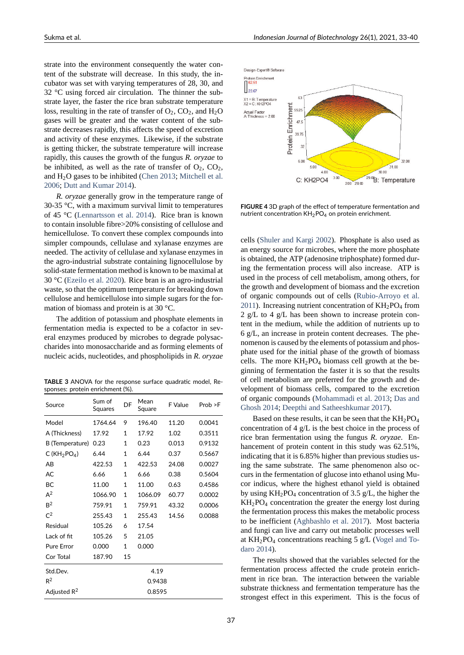strate into the environment consequently the water content of the substrate will decrease. In this study, the incubator was set with varying temperatures of 28, 30, and 32 °C using forced air circulation. The thinner the substrate layer, the faster the rice bran substrate temperature loss, resulting in the rate of transfer of  $O_2$ ,  $CO_2$ , and  $H_2O$ gases will be greater and the water content of the substrate decreases rapidly, this affects the speed of excretion and activity of these enzymes. Likewise, if the substrate is getting thicker, the substrate temperature will increase rapidly, this causes the growth of the fungus *R. oryzae* to be inhibited, as well as the rate of transfer of  $O_2$ ,  $CO_2$ , and  $H<sub>2</sub>O$  gases to be inhibited (Chen 2013; Mitchell et al. 2006; Dutt and Kumar 2014).

*R. oryzae* generally grow in the temperature range of 30-35 °C, with a maximum survival limit to temperatures of 45 °C (Lennartsson et al. 2[014\). Rice](#page-5-10) [bran is known](#page-6-14) [to con](#page-6-14)[tain insoluble fibre>20](#page-5-11)% consisting of cellulose and hemicellulose. To convert these complex compounds into simpler compounds, cellulase and xylanase enzymes are needed. T[he activity of cellulase an](#page-6-20)d xylanase enzymes in the agro-industrial substrate containing lignocellulose by solid-state fermentation method is known to be maximal at 30  $^{\circ}$ C (Ezeilo et al. 2020). Rice bran is an agro-industrial waste, so that the optimum temperature for breaking down cellulose and hemicellulose into simple sugars for the formation of biomass and protein is at 30 °C.

Th[e addition of potas](#page-5-12)sium and phosphate elements in fermentation media is expected to be a cofactor in several enzymes produced by microbes to degrade polysaccharides into monosaccharide and as forming elements of nucleic acids, nucleotides, and phospholipids in *R. oryzae*

**TABLE 3** ANOVA for the response surface quadratic model, Re‐ sponses: protein enrichment (%).

<span id="page-4-0"></span>

| Source            | Sum of<br>Squares | DF           | Mean<br>Square | F Value | Prob > F |
|-------------------|-------------------|--------------|----------------|---------|----------|
| Model             | 1764.64           | 9            | 196.40         | 11.20   | 0.0041   |
| A (Thickness)     | 17.92             | 1            | 17.92          | 1.02    | 0.3511   |
| B (Temperature)   | 0.23              | $\mathbf{1}$ | 0.23           | 0.013   | 0.9132   |
| C ( $KH2PO4$ )    | 6.44              | $\mathbf{1}$ | 6.44           | 0.37    | 0.5667   |
| AB                | 422.53            | $\mathbf{1}$ | 422.53         | 24.08   | 0.0027   |
| AC                | 6.66              | $\mathbf{1}$ | 6.66           | 0.38    | 0.5604   |
| BC                | 11.00             | $\mathbf{1}$ | 11.00          | 0.63    | 0.4586   |
| $A^2$             | 1066.90           | $\mathbf{1}$ | 1066.09        | 60.77   | 0.0002   |
| B <sup>2</sup>    | 759.91            | $\mathbf{1}$ | 759.91         | 43.32   | 0.0006   |
| $C^2$             | 255.43            | $\mathbf{1}$ | 255.43         | 14.56   | 0.0088   |
| Residual          | 105.26            | 6            | 17.54          |         |          |
| Lack of fit       | 105.26            | 5            | 21.05          |         |          |
| <b>Pure Error</b> | 0.000             | $\mathbf{1}$ | 0.000          |         |          |
| Cor Total         | 187.90            | 15           |                |         |          |
| Std.Dev.          |                   | 4.19         |                |         |          |
| $R^2$             |                   | 0.9438       |                |         |          |
| Adjusted $R^2$    | 0.8595            |              |                |         |          |

<span id="page-4-1"></span>

**FIGURE 4** 3D graph of the effect of temperature fermentation and nutrient concentration  $KH_{2}PO_{4}$  on protein enrichment.

cells (Shuler and Kargi 2002). Phosphate is also used as an energy source for microbes, where the more phosphate is obtained, the ATP (adenosine triphosphate) formed during the fermentation process will also increase. ATP is usedi[n the process of cell me](#page-6-21)tabolism, among others, for the growth and development of biomass and the excretion of organic compounds out of cells (Rubio-Arroyo et al. 2011). Increasing nutrient concentration of  $KH_2PO_4$  from 2 g/L to 4 g/L has been shown to increase protein content in the medium, while the addition of nutrients up to 6 g/L, an increase in protein content [decreases. The phe](#page-6-22)[nome](#page-6-22)non is caused by the elements of potassium and phosphate used for the initial phase of the growth of biomass cells. The more  $KH<sub>2</sub>PO<sub>4</sub>$  biomass cell growth at the beginning of fermentation the faster it is so that the results of cell metabolism are preferred for the growth and development of biomass cells, compared to the excretion of organic compounds (Mohammadi et al. 2013; Das and Ghosh 2014; Deepthi and Satheeshkumar 2017).

Based on these results, it can be seen that the  $KH_{2}PO_{4}$ concentration of 4 g/L is the best choice in the process of rice bran fermentation [using the fungus](#page-6-23) *[R. ory](#page-6-23)zae*[. En](#page-5-13)[hancement o](#page-5-13)[f protein content in this study wa](#page-5-14)s 62.51%, indicating that it is 6.85% higher than previous studies using the same substrate. The same phenomenon also occurs in the fermentation of glucose into ethanol using Mucor indicus, where the highest ethanol yield is obtained by using  $KH_2PO_4$  concentration of 3.5 g/L, the higher the  $KH<sub>2</sub>PO<sub>4</sub>$  concentration the greater the energy lost during the fermentation process this makes the metabolic process to be inefficient (Aghbashlo et al. 2017). Most bacteria and fungi can live and carry out metabolic processes well at  $KH<sub>2</sub>PO<sub>4</sub>$  concentrations reaching 5 g/L (Vogel and Todaro 2014).

The results sh[owed that the variables](#page-5-15) selected for the fermentation process affected the crude protein enrichment in rice bran. The interaction betwe[en the variable](#page-6-24) [substrate t](#page-6-24)hickness and fermentation temperature has the strongest effect in this experiment. This is the focus of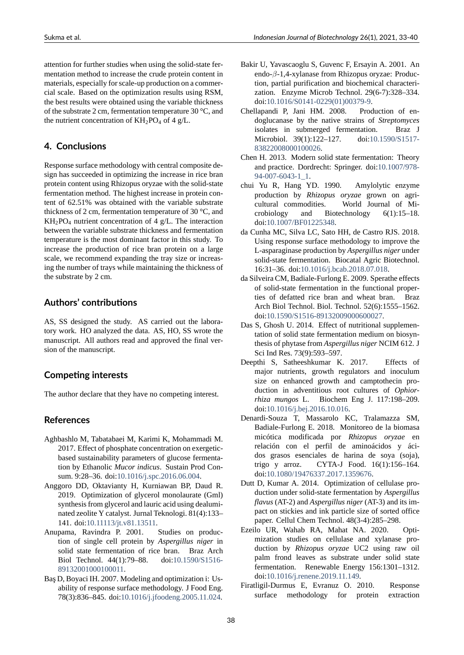attention for further studies when using the solid-state fermentation method to increase the crude protein content in materials, especially for scale-up production on a commercial scale. Based on the optimization results using RSM, the best results were obtained using the variable thickness of the substrate 2 cm, fermentation temperature 30 °C, and the nutrient concentration of  $KH_2PO_4$  of 4 g/L.

## **4. Conclusions**

Response surface methodology with central composite design has succeeded in optimizing the increase in rice bran protein content using Rhizopus oryzae with the solid-state fermentation method. The highest increase in protein content of 62.51% was obtained with the variable substrate thickness of 2 cm, fermentation temperature of 30 °C, and  $KH<sub>2</sub>PO<sub>4</sub>$  nutrient concentration of 4 g/L. The interaction between the variable substrate thickness and fermentation temperature is the most dominant factor in this study. To increase the production of rice bran protein on a large scale, we recommend expanding the tray size or increasing the number of trays while maintaining the thickness of the substrate by 2 cm.

## **Authors' contributions**

AS, SS designed the study. AS carried out the laboratory work. HO analyzed the data. AS, HO, SS wrote the manuscript. All authors read and approved the final version of the manuscript.

## **Competing interests**

The author declare that they have no competing interest.

## **References**

- Aghbashlo M, Tabatabaei M, Karimi K, Mohammadi M. 2017. Effect of phosphate concentration on exergeticbased sustainability parameters of glucose fermentation by Ethanolic *Mucor indicus*. Sustain Prod Consum. 9:28–36. doi:10.1016/j.spc.2016.06.004.
- <span id="page-5-15"></span>Anggoro DD, Oktavianty H, Kurniawan BP, Daud R. 2019. Optimization of glycerol monolaurate (Gml) synthesis from glycerol and lauric acid using dealuminated zeolite Y cat[alyst. Jurnal Teknologi. 81\(4](https://doi.org/10.1016/j.spc.2016.06.004)):133– 141. doi:10.11113/jt.v81.13511.
- <span id="page-5-9"></span>Anupama, Ravindra P. 2001. Studies on production of single cell protein by *Aspergillus niger* in solid state fermentation of rice bran. Braz Arch Biol Te[chnol. 44\(1\):79–88.](https://doi.org/10.11113/jt.v81.13511) doi:10.1590/S1516 89132001000100011.
- <span id="page-5-6"></span><span id="page-5-0"></span>Baş D, Boyaci IH. 2007. Modeling and optimization i: Usability of response surface methodology. J Food Eng. 78(3):836–845. doi:10.1016/j.jfoode[ng.2005.11.024.](https://doi.org/10.1590/S1516-89132001000100011)
- Bakir U, Yavascaoglu S, Guvenc F, Ersayin A. 2001. An endo-β-1,4-xylanase from Rhizopus oryzae: Production, partial purification and biochemical characterization. Enzyme Microb Technol. 29(6-7):328-334. doi:10.1016/S0141-0229(01)00379-9.
- <span id="page-5-2"></span>Chellapandi P, Jani HM. 2008. Production of endoglucanase by the native strains of *Streptomyces* isolates in submerged fermentation. Braz J Microbiol. 39(1):122-127. doi:10.1590/S1517-83822008000100026.
- <span id="page-5-3"></span>Chen H. 2013. Modern solid state fermentation: Theory and practice. Dordrecht: Springer. doi:10.1007/978 94-007-6043-1 1.
- <span id="page-5-10"></span>chui [Yu R, Hang YD.](https://doi.org/10.1590/S1517-83822008000100026) 1990. Amylolytic enzyme production by *Rhizopus oryzae* grown on agricultural commodities. World Jo[urnal of Mi](https://doi.org/10.1007/978-94-007-6043-1_1)[crobiology and](https://doi.org/10.1007/978-94-007-6043-1_1) Biotechnology 6(1):15–18. doi:10.1007/BF01225348.
- <span id="page-5-1"></span>da Cunha MC, Silva LC, Sato HH, de Castro RJS. 2018. Using response surface methodology to improve the Lasparaginase production by *Aspergillus niger* under solid-state fermentation. Biocatal Agric Biotechnol. 16:31–36. doi:10.1016/j.bcab.2018.07.018.
- <span id="page-5-8"></span>da Silveira CM, Badiale-Furlong E. 2009. Sperathe effects of solid-state fermentation in the functional properties of defatted rice bran and wheat bran. Braz Arch Biol Tec[hnol. Biol. Technol. 52\(6\):15](https://doi.org/10.1016/j.bcab.2018.07.018)55–1562. doi:10.1590/S1516-89132009000600027.
- <span id="page-5-5"></span>Das S, Ghosh U. 2014. Effect of nutritional supplementation of solid state fermentation medium on biosynthesis of phytase from *Aspergillus niger* NCIM 612. J Sci [Ind Res. 73\(9\):593–597.](https://doi.org/10.1590/S1516-89132009000600027)
- <span id="page-5-13"></span>Deepthi S, Satheeshkumar K. 2017. Effects of major nutrients, growth regulators and inoculum size on enhanced growth and camptothecin production in adventitious root cultures of *Ophiorrhiza mungos* L. Biochem Eng J. 117:198–209. doi:10.1016/j.bej.2016.10.016.
- <span id="page-5-14"></span>Denardi-Souza T, Massarolo KC, Tralamazza SM, Badiale-Furlong E. 2018. Monitoreo de la biomasa micótica modificada por *Rhizopus oryzae* en rela[ción con el perfil de](https://doi.org/10.1016/j.bej.2016.10.016) aminoácidos y ácidos grasos esenciales de harina de soya (soja), trigo y arroz. CYTA-J Food. 16(1):156-164. doi:10.1080/19476337.2017.1359676.
- <span id="page-5-4"></span>Dutt D, Kumar A. 2014. Optimization of cellulase production under solid-state fermentation by *Aspergillus flavus* (AT-2) and *Aspergillus niger* (AT-3) and its impac[t on stickies and ink particle size](https://doi.org/10.1080/19476337.2017.1359676) of sorted office paper. Cellul Chem Technol. 48(3-4):285-298.
- <span id="page-5-11"></span>Ezeilo UR, Wahab RA, Mahat NA. 2020. Optimization studies on cellulase and xylanase production by *Rhizopus oryzae* UC2 using raw oil palm frond leaves as substrate under solid state fermentation. Renewable Energy 156:1301–1312. doi:10.1016/j.renene.2019.11.149.
- <span id="page-5-12"></span><span id="page-5-7"></span>Firatligil-Durmus E, Evranuz O. 2010. Response surface methodology for protein extraction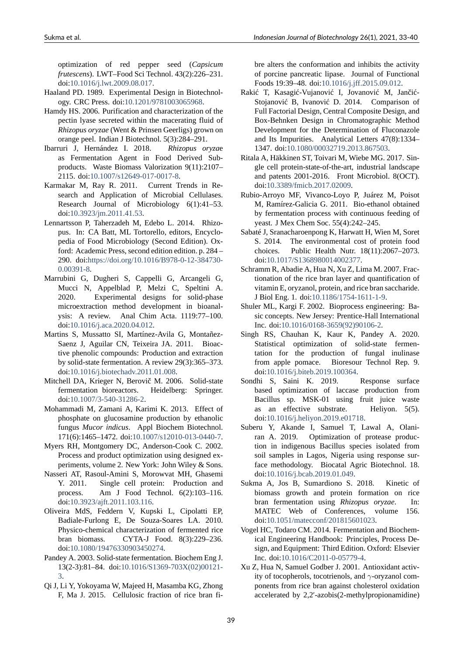optimization of red pepper seed (*Capsicum frutescens*). LWT–Food Sci Technol. 43(2):226–231. doi:10.1016/j.lwt.2009.08.017.

- Haaland PD. 1989. Experimental Design in Biotechnology. CRC Press. doi:10.1201/9781003065968.
- <span id="page-6-19"></span>Hamdy HS. 2006. Purification and characterization of the pec[tin lyase secreted within th](https://doi.org/10.1016/j.lwt.2009.08.017)e macerating fluid of *Rhizopus oryzae* (Went & Prinsen Geerligs) grown on orange peel. Indian J [Biotechnol. 5\(3\):284–291](https://doi.org/10.1201/9781003065968).
- <span id="page-6-3"></span>Ibarruri J, Hernández I. 2018. *Rhizopus oryza*e as Fermentation Agent in Food Derived Subproducts. Waste Biomass Valorization 9(11):2107– 2115. doi:10.1007/s12649-017-0017-8.
- <span id="page-6-5"></span>Karmakar M, Ray R. 2011. Current Trends in Research and Application of Microbial Cellulases. Research Journal of Microbiology 6(1):41–53. doi:10.39[23/jm.2011.41.53.](https://doi.org/10.1007/s12649-017-0017-8)
- <span id="page-6-4"></span>Lennartsson P, Taherzadeh M, Edebo L. 2014. Rhizopus. In: CA Batt, ML Tortorello, editors, Encyclopedia of Food Microbiology (Second Edition). Oxfor[d: Academic Press, secon](https://doi.org/10.3923/jm.2011.41.53)d edition edition. p. 284 – 290. doi:https://doi.org/10.1016/B978-0-12-384730- $0.00391 - 8.$
- <span id="page-6-20"></span>Marrubini G, Dugheri S, Cappelli G, Arcangeli G, Mucci N, Appelblad P, Melzi C, Speltini A. 2020. Experimental designs for solid-phase [microextra](https://doi.org/https://doi.org/10.1016/B978-0-12-384730-0.00391-8)ction method development in bioanalysis: A review. Anal Chim Acta. 1119:77–100. doi:10.1016/j.aca.2020.04.012.
- <span id="page-6-17"></span>Martins S, Mussatto SI, Martínez-Avila G, Montañez-Saenz J, Aguilar CN, Teixeira JA. 2011. Bioactive phenolic compounds: Production and extraction by solid-state fermentation. A review 29(3):365–373. doi:10.1016/j.biotechadv.2011.01.008.
- <span id="page-6-9"></span>Mitchell DA, Krieger N, Berovič M. 2006. Solid-state fermentation bioreactors. Heidelberg: Springer. doi:10.1007/3-540-31286-2.
- <span id="page-6-14"></span>Moham[madi M, Zamani A, Karimi K. 20](https://doi.org/10.1016/j.biotechadv.2011.01.008)13. Effect of phosphate on glucosamine production by ethanolic fungus *Mucor indicus*. Appl Biochem Biotechnol. 171(6):1465-1472. doi:10.1007/s12010-013-0440-7.
- <span id="page-6-23"></span>Myers RH, Montgomery DC, Anderson-Cook C. 2002. Process and product optimization using designed experiments, volume 2. New York: John Wiley & Sons.
- <span id="page-6-15"></span>Nasseri AT, Rasoul-Amini [S, Morowvat MH, Ghasemi](https://doi.org/10.1007/s12010-013-0440-7) Y. 2011. Single cell protein: Production and process. Am J Food Technol. 6(2):103–116. doi:10.3923/ajft.2011.103.116.
- <span id="page-6-2"></span>Oliveira MdS, Feddern V, Kupski L, Cipolatti EP, Badiale-Furlong E, De Souza-Soares LA. 2010. Physico-chemical characterization of fermented rice bran biomass. CYTA-J Food. 8(3):229-236. doi:10.1080/19476330903450274.
- <span id="page-6-10"></span>Pandey A. 2003. Solid-state fermentation. Biochem Eng J. 13(2-3):81-84. doi:10.1016/S1369-703X(02)00121-3.
- <span id="page-6-8"></span><span id="page-6-7"></span>Qi J, Li [Y, Yokoyama W, Majeed H, Ma](https://doi.org/10.1080/19476330903450274)samba KG, Zhong F, Ma J. 2015. Cellulosic fraction of rice bran fi-

bre alters the conformation and inhibits the activity of porcine pancreatic lipase. Journal of Functional Foods 19:39–48. doi:10.1016/j.jff.2015.09.012.

- Rakić T, Kasagić-Vujanović I, Jovanović M, Jančić-Stojanović B, Ivanović D. 2014. Comparison of Full Factorial Design, Central Composite Design, and Box-Behnken Desig[n in Chromatographic M](https://doi.org/10.1016/j.jff.2015.09.012)ethod Development for the Determination of Fluconazole and Its Impurities. Analytical Letters 47(8):1334– 1347. doi:10.1080/00032719.2013.867503.
- <span id="page-6-16"></span>Ritala A, Häkkinen ST, Toivari M, Wiebe MG. 2017. Single cell protein-state-of-the-art, industrial landscape and patents 2001-2016. Front Microbiol. 8(OCT). doi:10.33[89/fmicb.2017.02009.](https://doi.org/10.1080/00032719.2013.867503)
- <span id="page-6-0"></span>Rubio-Arroyo MF, Vivanco-Loyo P, Juárez M, Poisot M, Ramírez-Galicia G. 2011. Bio-ethanol obtained by fermentation process with continuous feeding of yea[st. J Mex Chem Soc. 55\(4\):](https://doi.org/10.3389/fmicb.2017.02009)242–245.
- <span id="page-6-22"></span>Sabaté J, Sranacharoenpong K, Harwatt H, Wien M, Soret S. 2014. The environmental cost of protein food choices. Public Health Nutr. 18(11):2067–2073. doi:10.1017/S1368980014002377.
- <span id="page-6-1"></span>Schramm R, Abadie A, Hua N, Xu Z, Lima M. 2007. Fractionation of the rice bran layer and quantification of vitamin E, oryzanol, protein, and rice bran saccharide. J Biol Eng. 1. doi:10.1186/1754-1611-1-9.
- <span id="page-6-6"></span>Shuler ML, Kargi F. 2002. Bioprocess engineering: Basic concepts. New Jersey: Prentice-Hall International Inc. doi:10.1016/0168-3659(92)90106-2.
- <span id="page-6-21"></span>Singh RS, Chauhan [K, Kaur K, Pandey](https://doi.org/10.1186/1754-1611-1-9) A. 2020. Statistical optimization of solid-state fermentation for the production of fungal inulinase from a[pple pomace. Bioresour Tech](https://doi.org/10.1016/0168-3659(92)90106-2)nol Rep. 9. doi:10.1016/j.biteb.2019.100364.
- <span id="page-6-18"></span>Sondhi S, Saini K. 2019. Response surface based optimization of laccase production from Bacillus sp. MSK-01 using fruit juice waste as [an effective substrate.](https://doi.org/10.1016/j.biteb.2019.100364) Heliyon. 5(5). doi:10.1016/j.heliyon.2019.e01718.
- <span id="page-6-12"></span>Suberu Y, Akande I, Samuel T, Lawal A, Olaniran A. 2019. Optimization of protease production in indigenous Bacillus species isolated from soil [samples in Lagos, Nigeria us](https://doi.org/10.1016/j.heliyon.2019.e01718)ing response surface methodology. Biocatal Agric Biotechnol. 18. doi:10.1016/j.bcab.2019.01.049.
- <span id="page-6-13"></span>Sukma A, Jos B, Sumardiono S. 2018. Kinetic of biomass growth and protein formation on rice bran fermentation using *Rhizopus oryzae*. In: M[ATEC Web of Conferen](https://doi.org/10.1016/j.bcab.2019.01.049)ces, volume 156. doi:10.1051/matecconf/201815601023.
- <span id="page-6-11"></span>Vogel HC, Todaro CM. 2014. Fermentation and Biochemical Engineering Handbook: Principles, Process Design, and Equipment: Third Edition. Oxford: Elsevier Inc. doi:10.1016/C2011-0-05779-4.
- <span id="page-6-24"></span>Xu Z, Hua N, Samuel Godber J. 2001. Antioxidant activity of tocopherols, tocotrienols, and *γ*-oryzanol components from rice bran against cholesterol oxidation accelerated by 2,2'-azobis(2-methylpropionamidine)